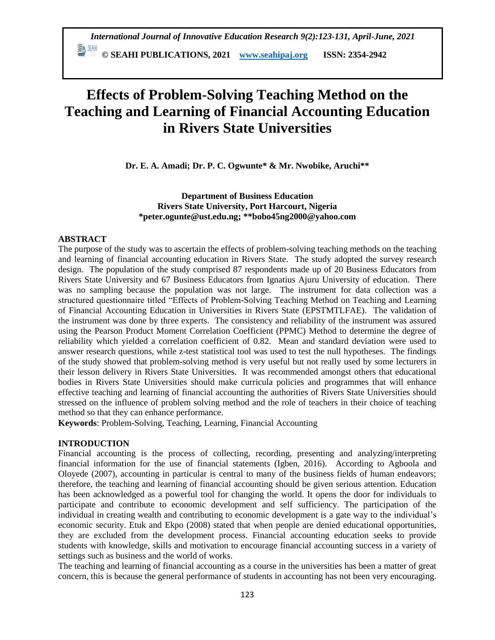**© SEAHI PUBLICATIONS, 2021 [www.seahipaj.org](http://www.seahipaj.org/) ISSN: 2354-2942**

# **Effects of Problem-Solving Teaching Method on the Teaching and Learning of Financial Accounting Education in Rivers State Universities**

**Dr. E. A. Amadi; Dr. P. C. Ogwunte\* & Mr. Nwobike, Aruchi\*\***

**Department of Business Education Rivers State University, Port Harcourt, Nigeria [\\*peter.ogunte@ust.edu.ng;](mailto:*peter.ogunte@ust.edu.ng) \*\*bobo45ng2000@yahoo.com**

#### **ABSTRACT**

The purpose of the study was to ascertain the effects of problem-solving teaching methods on the teaching and learning of financial accounting education in Rivers State. The study adopted the survey research design. The population of the study comprised 87 respondents made up of 20 Business Educators from Rivers State University and 67 Business Educators from Ignatius Ajuru University of education. There was no sampling because the population was not large. The instrument for data collection was a structured questionnaire titled "Effects of Problem-Solving Teaching Method on Teaching and Learning of Financial Accounting Education in Universities in Rivers State (EPSTMTLFAE). The validation of the instrument was done by three experts. The consistency and reliability of the instrument was assured using the Pearson Product Moment Correlation Coefficient (PPMC) Method to determine the degree of reliability which yielded a correlation coefficient of 0.82. Mean and standard deviation were used to answer research questions, while z-test statistical tool was used to test the null hypotheses. The findings of the study showed that problem-solving method is very useful but not really used by some lecturers in their lesson delivery in Rivers State Universities. It was recommended amongst others that educational bodies in Rivers State Universities should make curricula policies and programmes that will enhance effective teaching and learning of financial accounting the authorities of Rivers State Universities should stressed on the influence of problem solving method and the role of teachers in their choice of teaching method so that they can enhance performance.

**Keywords**: Problem-Solving, Teaching, Learning, Financial Accounting

#### **INTRODUCTION**

Financial accounting is the process of collecting, recording, presenting and analyzing/interpreting financial information for the use of financial statements (Igben, 2016). According to Agboola and Oloyede (2007), accounting in particular is central to many of the business fields of human endeavors; therefore, the teaching and learning of financial accounting should be given serious attention. Education has been acknowledged as a powerful tool for changing the world. It opens the door for individuals to participate and contribute to economic development and self sufficiency. The participation of the individual in creating wealth and contributing to economic development is a gate way to the individual's economic security. Etuk and Ekpo (2008) stated that when people are denied educational opportunities, they are excluded from the development process. Financial accounting education seeks to provide students with knowledge, skills and motivation to encourage financial accounting success in a variety of settings such as business and the world of works.

The teaching and learning of financial accounting as a course in the universities has been a matter of great concern, this is because the general performance of students in accounting has not been very encouraging.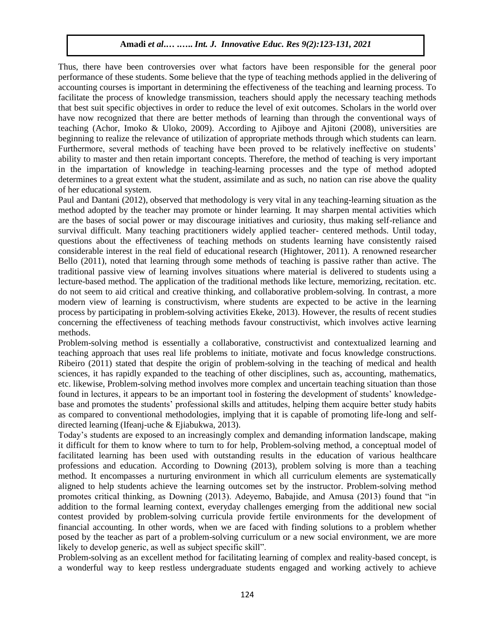Thus, there have been controversies over what factors have been responsible for the general poor performance of these students. Some believe that the type of teaching methods applied in the delivering of accounting courses is important in determining the effectiveness of the teaching and learning process. To facilitate the process of knowledge transmission, teachers should apply the necessary teaching methods that best suit specific objectives in order to reduce the level of exit outcomes. Scholars in the world over have now recognized that there are better methods of learning than through the conventional ways of teaching (Achor, Imoko & Uloko, 2009). According to Ajiboye and Ajitoni (2008), universities are beginning to realize the relevance of utilization of appropriate methods through which students can learn. Furthermore, several methods of teaching have been proved to be relatively ineffective on students' ability to master and then retain important concepts. Therefore, the method of teaching is very important in the impartation of knowledge in teaching-learning processes and the type of method adopted determines to a great extent what the student, assimilate and as such, no nation can rise above the quality of her educational system.

Paul and Dantani (2012), observed that methodology is very vital in any teaching-learning situation as the method adopted by the teacher may promote or hinder learning. It may sharpen mental activities which are the bases of social power or may discourage initiatives and curiosity, thus making self-reliance and survival difficult. Many teaching practitioners widely applied teacher- centered methods. Until today, questions about the effectiveness of teaching methods on students learning have consistently raised considerable interest in the real field of educational research (Hightower, 2011). A renowned researcher Bello (2011), noted that learning through some methods of teaching is passive rather than active. The traditional passive view of learning involves situations where material is delivered to students using a lecture-based method. The application of the traditional methods like lecture, memorizing, recitation. etc. do not seem to aid critical and creative thinking, and collaborative problem-solving. In contrast, a more modern view of learning is constructivism, where students are expected to be active in the learning process by participating in problem-solving activities Ekeke, 2013). However, the results of recent studies concerning the effectiveness of teaching methods favour constructivist, which involves active learning methods.

Problem-solving method is essentially a collaborative, constructivist and contextualized learning and teaching approach that uses real life problems to initiate, motivate and focus knowledge constructions. Ribeiro (2011) stated that despite the origin of problem-solving in the teaching of medical and health sciences, it has rapidly expanded to the teaching of other disciplines, such as, accounting, mathematics, etc. likewise, Problem-solving method involves more complex and uncertain teaching situation than those found in lectures, it appears to be an important tool in fostering the development of students' knowledgebase and promotes the students' professional skills and attitudes, helping them acquire better study habits as compared to conventional methodologies, implying that it is capable of promoting life-long and selfdirected learning (Ifeanj-uche & Ejiabukwa, 2013).

Today's students are exposed to an increasingly complex and demanding information landscape, making it difficult for them to know where to turn to for help, Problem-solving method, a conceptual model of facilitated learning has been used with outstanding results in the education of various healthcare professions and education. According to Downing (2013), problem solving is more than a teaching method. It encompasses a nurturing environment in which all curriculum elements are systematically aligned to help students achieve the learning outcomes set by the instructor. Problem-solving method promotes critical thinking, as Downing (2013). Adeyemo, Babajide, and Amusa (2013) found that "in addition to the formal learning context, everyday challenges emerging from the additional new social contest provided by problem-solving curricula provide fertile environments for the development of financial accounting. In other words, when we are faced with finding solutions to a problem whether posed by the teacher as part of a problem-solving curriculum or a new social environment, we are more likely to develop generic, as well as subject specific skill".

Problem-solving as an excellent method for facilitating learning of complex and reality-based concept, is a wonderful way to keep restless undergraduate students engaged and working actively to achieve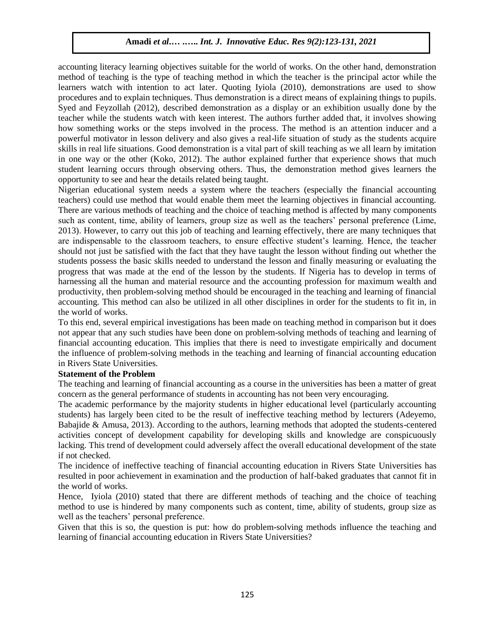accounting literacy learning objectives suitable for the world of works. On the other hand, demonstration method of teaching is the type of teaching method in which the teacher is the principal actor while the learners watch with intention to act later. Quoting Iyiola (2010), demonstrations are used to show procedures and to explain techniques. Thus demonstration is a direct means of explaining things to pupils. Syed and Feyzollah (2012), described demonstration as a display or an exhibition usually done by the teacher while the students watch with keen interest. The authors further added that, it involves showing how something works or the steps involved in the process. The method is an attention inducer and a powerful motivator in lesson delivery and also gives a real-life situation of study as the students acquire skills in real life situations. Good demonstration is a vital part of skill teaching as we all learn by imitation in one way or the other (Koko, 2012). The author explained further that experience shows that much student learning occurs through observing others. Thus, the demonstration method gives learners the opportunity to see and hear the details related being taught.

Nigerian educational system needs a system where the teachers (especially the financial accounting teachers) could use method that would enable them meet the learning objectives in financial accounting. There are various methods of teaching and the choice of teaching method is affected by many components such as content, time, ability of learners, group size as well as the teachers' personal preference (Lime, 2013). However, to carry out this job of teaching and learning effectively, there are many techniques that are indispensable to the classroom teachers, to ensure effective student's learning. Hence, the teacher should not just be satisfied with the fact that they have taught the lesson without finding out whether the students possess the basic skills needed to understand the lesson and finally measuring or evaluating the progress that was made at the end of the lesson by the students. If Nigeria has to develop in terms of harnessing all the human and material resource and the accounting profession for maximum wealth and productivity, then problem-solving method should be encouraged in the teaching and learning of financial accounting. This method can also be utilized in all other disciplines in order for the students to fit in, in the world of works.

To this end, several empirical investigations has been made on teaching method in comparison but it does not appear that any such studies have been done on problem-solving methods of teaching and learning of financial accounting education. This implies that there is need to investigate empirically and document the influence of problem-solving methods in the teaching and learning of financial accounting education in Rivers State Universities.

# **Statement of the Problem**

The teaching and learning of financial accounting as a course in the universities has been a matter of great concern as the general performance of students in accounting has not been very encouraging.

The academic performance by the majority students in higher educational level (particularly accounting students) has largely been cited to be the result of ineffective teaching method by lecturers (Adeyemo, Babajide & Amusa, 2013). According to the authors, learning methods that adopted the students-centered activities concept of development capability for developing skills and knowledge are conspicuously lacking. This trend of development could adversely affect the overall educational development of the state if not checked.

The incidence of ineffective teaching of financial accounting education in Rivers State Universities has resulted in poor achievement in examination and the production of half-baked graduates that cannot fit in the world of works.

Hence, Iyiola (2010) stated that there are different methods of teaching and the choice of teaching method to use is hindered by many components such as content, time, ability of students, group size as well as the teachers' personal preference.

Given that this is so, the question is put: how do problem-solving methods influence the teaching and learning of financial accounting education in Rivers State Universities?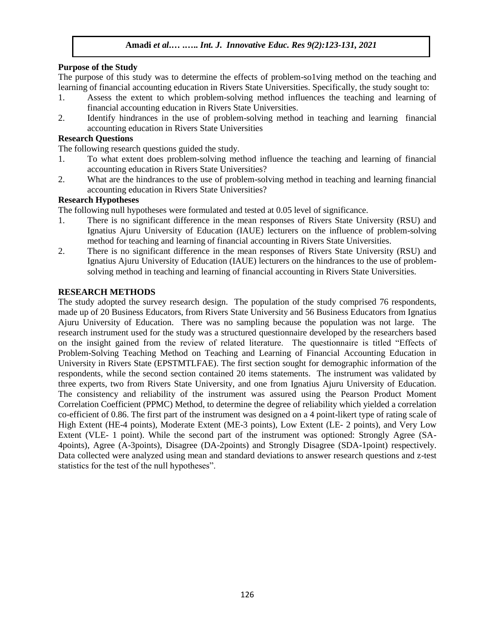# **Purpose of the Study**

The purpose of this study was to determine the effects of problem-so1ving method on the teaching and learning of financial accounting education in Rivers State Universities. Specifically, the study sought to:

- 1. Assess the extent to which problem-solving method influences the teaching and learning of financial accounting education in Rivers State Universities.
- 2. Identify hindrances in the use of problem-solving method in teaching and learning financial accounting education in Rivers State Universities

#### **Research Questions**

The following research questions guided the study.

- 1. To what extent does problem-solving method influence the teaching and learning of financial accounting education in Rivers State Universities?
- 2. What are the hindrances to the use of problem-solving method in teaching and learning financial accounting education in Rivers State Universities?

#### **Research Hypotheses**

The following null hypotheses were formulated and tested at 0.05 level of significance.

- 1. There is no significant difference in the mean responses of Rivers State University (RSU) and Ignatius Ajuru University of Education (IAUE) lecturers on the influence of problem-solving method for teaching and learning of financial accounting in Rivers State Universities.
- 2. There is no significant difference in the mean responses of Rivers State University (RSU) and Ignatius Ajuru University of Education (IAUE) lecturers on the hindrances to the use of problemsolving method in teaching and learning of financial accounting in Rivers State Universities.

#### **RESEARCH METHODS**

The study adopted the survey research design. The population of the study comprised 76 respondents, made up of 20 Business Educators, from Rivers State University and 56 Business Educators from Ignatius Ajuru University of Education. There was no sampling because the population was not large. The research instrument used for the study was a structured questionnaire developed by the researchers based on the insight gained from the review of related literature. The questionnaire is titled "Effects of Problem-Solving Teaching Method on Teaching and Learning of Financial Accounting Education in University in Rivers State (EPSTMTLFAE). The first section sought for demographic information of the respondents, while the second section contained 20 items statements. The instrument was validated by three experts, two from Rivers State University, and one from Ignatius Ajuru University of Education. The consistency and reliability of the instrument was assured using the Pearson Product Moment Correlation Coefficient (PPMC) Method, to determine the degree of reliability which yielded a correlation co-efficient of 0.86. The first part of the instrument was designed on a 4 point-likert type of rating scale of High Extent (HE-4 points), Moderate Extent (ME-3 points), Low Extent (LE- 2 points), and Very Low Extent (VLE- 1 point). While the second part of the instrument was optioned: Strongly Agree (SA-4points), Agree (A-3points), Disagree (DA-2points) and Strongly Disagree (SDA-1point) respectively. Data collected were analyzed using mean and standard deviations to answer research questions and z-test statistics for the test of the null hypotheses".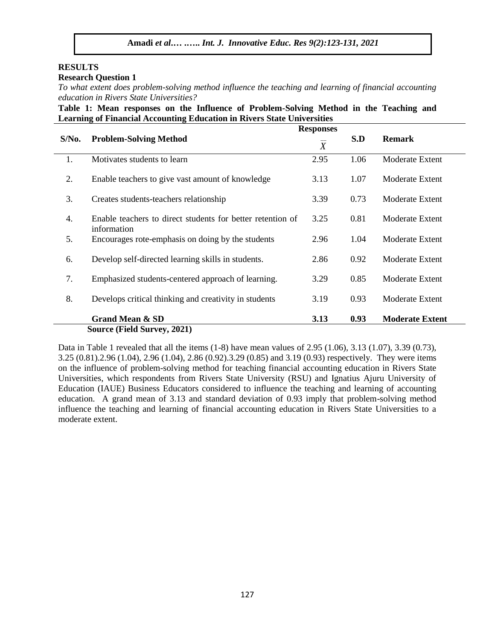# **RESULTS**

#### **Research Question 1**

*To what extent does problem-solving method influence the teaching and learning of financial accounting education in Rivers State Universities?*

**Table 1: Mean responses on the Influence of Problem-Solving Method in the Teaching and Learning of Financial Accounting Education in Rivers State Universities**

|                             | <b>Responses</b>                                                          |                |      |                        |  |  |
|-----------------------------|---------------------------------------------------------------------------|----------------|------|------------------------|--|--|
| $S/N0$ .                    | <b>Problem-Solving Method</b>                                             | $\overline{X}$ | S.D  | <b>Remark</b>          |  |  |
| 1.                          | Motivates students to learn                                               | 2.95           | 1.06 | Moderate Extent        |  |  |
| 2.                          | Enable teachers to give vast amount of knowledge                          | 3.13           | 1.07 | Moderate Extent        |  |  |
| 3.                          | Creates students-teachers relationship                                    | 3.39           | 0.73 | <b>Moderate Extent</b> |  |  |
| 4.                          | Enable teachers to direct students for better retention of<br>information | 3.25           | 0.81 | <b>Moderate Extent</b> |  |  |
| 5.                          | Encourages rote-emphasis on doing by the students                         | 2.96           | 1.04 | Moderate Extent        |  |  |
| 6.                          | Develop self-directed learning skills in students.                        | 2.86           | 0.92 | Moderate Extent        |  |  |
| 7.                          | Emphasized students-centered approach of learning.                        | 3.29           | 0.85 | Moderate Extent        |  |  |
| 8.                          | Develops critical thinking and creativity in students                     | 3.19           | 0.93 | Moderate Extent        |  |  |
|                             | <b>Grand Mean &amp; SD</b>                                                | 3.13           | 0.93 | <b>Moderate Extent</b> |  |  |
| Source (Field Survey, 2021) |                                                                           |                |      |                        |  |  |

Data in Table 1 revealed that all the items (1-8) have mean values of 2.95 (1.06), 3.13 (1.07), 3.39 (0.73), 3.25 (0.81).2.96 (1.04), 2.96 (1.04), 2.86 (0.92).3.29 (0.85) and 3.19 (0.93) respectively. They were items on the influence of problem-solving method for teaching financial accounting education in Rivers State Universities, which respondents from Rivers State University (RSU) and Ignatius Ajuru University of Education (IAUE) Business Educators considered to influence the teaching and learning of accounting education. A grand mean of 3.13 and standard deviation of 0.93 imply that problem-solving method influence the teaching and learning of financial accounting education in Rivers State Universities to a moderate extent.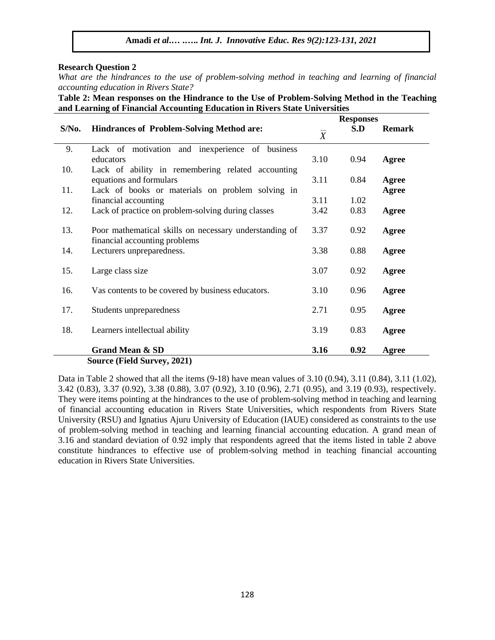#### **Research Question 2**

*What are the hindrances to the use of problem-solving method in teaching and learning of financial accounting education in Rivers State?*

**Table 2: Mean responses on the Hindrance to the Use of Problem-Solving Method in the Teaching and Learning of Financial Accounting Education in Rivers State Universities**

|                                    |                                                        | <b>Responses</b> |      |               |  |  |  |  |
|------------------------------------|--------------------------------------------------------|------------------|------|---------------|--|--|--|--|
| $S/N0$ .                           | <b>Hindrances of Problem-Solving Method are:</b>       | $\boldsymbol{X}$ | S.D  | <b>Remark</b> |  |  |  |  |
| 9.                                 | Lack of motivation and inexperience of business        |                  |      |               |  |  |  |  |
|                                    | educators                                              | 3.10             | 0.94 | Agree         |  |  |  |  |
| 10.                                | Lack of ability in remembering related accounting      |                  |      |               |  |  |  |  |
|                                    | equations and formulars                                | 3.11             | 0.84 | Agree         |  |  |  |  |
| 11.                                | Lack of books or materials on problem solving in       |                  |      | Agree         |  |  |  |  |
|                                    | financial accounting                                   | 3.11             | 1.02 |               |  |  |  |  |
| 12.                                | Lack of practice on problem-solving during classes     | 3.42             | 0.83 | Agree         |  |  |  |  |
|                                    |                                                        |                  |      |               |  |  |  |  |
| 13.                                | Poor mathematical skills on necessary understanding of | 3.37             | 0.92 | Agree         |  |  |  |  |
|                                    | financial accounting problems                          |                  |      |               |  |  |  |  |
| 14.                                | Lecturers unpreparedness.                              | 3.38             | 0.88 | Agree         |  |  |  |  |
|                                    |                                                        |                  |      |               |  |  |  |  |
| 15.                                | Large class size                                       | 3.07             | 0.92 | Agree         |  |  |  |  |
|                                    |                                                        |                  |      |               |  |  |  |  |
| 16.                                | Vas contents to be covered by business educators.      | 3.10             | 0.96 | Agree         |  |  |  |  |
| 17.                                | Students unpreparedness                                | 2.71             | 0.95 | Agree         |  |  |  |  |
|                                    |                                                        |                  |      |               |  |  |  |  |
| 18.                                | Learners intellectual ability                          | 3.19             | 0.83 | Agree         |  |  |  |  |
|                                    |                                                        |                  |      |               |  |  |  |  |
|                                    | <b>Grand Mean &amp; SD</b>                             | 3.16             | 0.92 | Agree         |  |  |  |  |
| <b>Source (Field Survey, 2021)</b> |                                                        |                  |      |               |  |  |  |  |

Data in Table 2 showed that all the items  $(9-18)$  have mean values of 3.10  $(0.94)$ , 3.11  $(0.84)$ , 3.11  $(1.02)$ , 3.42 (0.83), 3.37 (0.92), 3.38 (0.88), 3.07 (0.92), 3.10 (0.96), 2.71 (0.95), and 3.19 (0.93), respectively. They were items pointing at the hindrances to the use of problem-solving method in teaching and learning of financial accounting education in Rivers State Universities, which respondents from Rivers State University (RSU) and Ignatius Ajuru University of Education (IAUE) considered as constraints to the use of problem-solving method in teaching and learning financial accounting education. A grand mean of 3.16 and standard deviation of 0.92 imply that respondents agreed that the items listed in table 2 above constitute hindrances to effective use of problem-solving method in teaching financial accounting education in Rivers State Universities.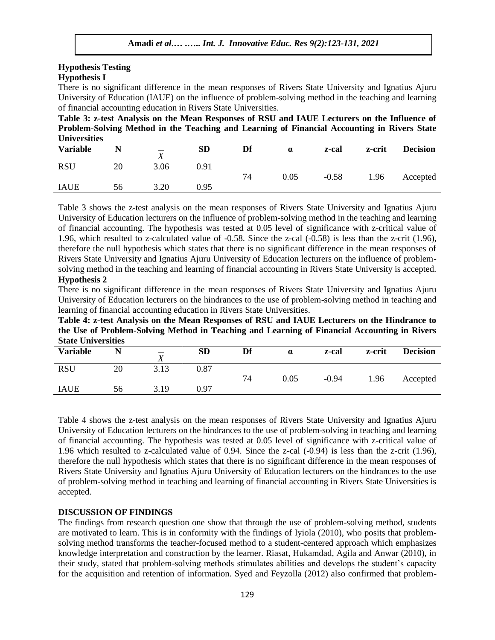#### **Hypothesis Testing Hypothesis I**

There is no significant difference in the mean responses of Rivers State University and Ignatius Ajuru University of Education (IAUE) on the influence of problem-solving method in the teaching and learning of financial accounting education in Rivers State Universities.

**Table 3: z-test Analysis on the Mean Responses of RSU and IAUE Lecturers on the Influence of Problem-Solving Method in the Teaching and Learning of Financial Accounting in Rivers State Universities**

| -------------   |    |                                 |           |    |          |         |        |                 |
|-----------------|----|---------------------------------|-----------|----|----------|---------|--------|-----------------|
| <b>Variable</b> |    | $-\!$ $\!-$<br>$\boldsymbol{X}$ | <b>SD</b> | Df | $\alpha$ | z-cal   | z-crit | <b>Decision</b> |
| <b>RSU</b>      | 20 | 3.06                            | 0.91      | 74 | 0.05     | $-0.58$ | 1.96   | Accepted        |
| <b>IAUE</b>     | 56 | 3.20                            | 0.95      |    |          |         |        |                 |

Table 3 shows the z-test analysis on the mean responses of Rivers State University and Ignatius Ajuru University of Education lecturers on the influence of problem-solving method in the teaching and learning of financial accounting. The hypothesis was tested at 0.05 level of significance with z-critical value of 1.96, which resulted to z-calculated value of -0.58. Since the z-cal (-0.58) is less than the z-crit (1.96), therefore the null hypothesis which states that there is no significant difference in the mean responses of Rivers State University and Ignatius Ajuru University of Education lecturers on the influence of problemsolving method in the teaching and learning of financial accounting in Rivers State University is accepted. **Hypothesis 2**

There is no significant difference in the mean responses of Rivers State University and Ignatius Ajuru University of Education lecturers on the hindrances to the use of problem-solving method in teaching and learning of financial accounting education in Rivers State Universities.

**Table 4: z-test Analysis on the Mean Responses of RSU and IAUE Lecturers on the Hindrance to the Use of Problem-Solving Method in Teaching and Learning of Financial Accounting in Rivers State Universities**

| Diane Christianus |    |                            |           |    |            |         |        |                 |
|-------------------|----|----------------------------|-----------|----|------------|---------|--------|-----------------|
| <b>Variable</b>   |    | $- -$<br>$\mathbf{v}$<br>Λ | <b>SD</b> | Df | $\alpha$   | z-cal   | z-crit | <b>Decision</b> |
| <b>RSU</b>        | 20 | 3.13                       | $_{0.87}$ | 74 | $\rm 0.05$ | $-0.94$ | 1.96   | Accepted        |
| <b>IAUE</b>       | 56 | 3.19                       | 0.97      |    |            |         |        |                 |

Table 4 shows the z-test analysis on the mean responses of Rivers State University and Ignatius Ajuru University of Education lecturers on the hindrances to the use of problem-solving in teaching and learning of financial accounting. The hypothesis was tested at 0.05 level of significance with z-critical value of 1.96 which resulted to z-calculated value of 0.94. Since the z-cal (-0.94) is less than the z-crit (1.96), therefore the null hypothesis which states that there is no significant difference in the mean responses of Rivers State University and Ignatius Ajuru University of Education lecturers on the hindrances to the use of problem-solving method in teaching and learning of financial accounting in Rivers State Universities is accepted.

#### **DISCUSSION OF FINDINGS**

The findings from research question one show that through the use of problem-solving method, students are motivated to learn. This is in conformity with the findings of Iyiola (2010), who posits that problemsolving method transforms the teacher-focused method to a student-centered approach which emphasizes knowledge interpretation and construction by the learner. Riasat, Hukamdad, Agila and Anwar (2010), in their study, stated that problem-solving methods stimulates abilities and develops the student's capacity for the acquisition and retention of information. Syed and Feyzolla (2012) also confirmed that problem-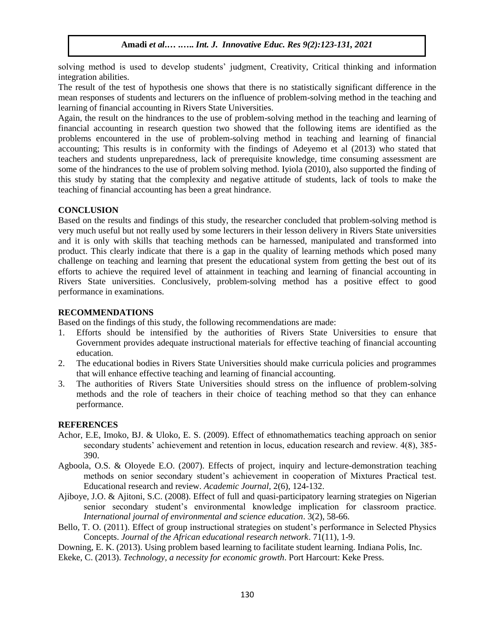solving method is used to develop students' judgment, Creativity, Critical thinking and information integration abilities.

The result of the test of hypothesis one shows that there is no statistically significant difference in the mean responses of students and lecturers on the influence of problem-solving method in the teaching and learning of financial accounting in Rivers State Universities.

Again, the result on the hindrances to the use of problem-solving method in the teaching and learning of financial accounting in research question two showed that the following items are identified as the problems encountered in the use of problem-solving method in teaching and learning of financial accounting; This results is in conformity with the findings of Adeyemo et al (2013) who stated that teachers and students unpreparedness, lack of prerequisite knowledge, time consuming assessment are some of the hindrances to the use of problem solving method. Iyiola (2010), also supported the finding of this study by stating that the complexity and negative attitude of students, lack of tools to make the teaching of financial accounting has been a great hindrance.

#### **CONCLUSION**

Based on the results and findings of this study, the researcher concluded that problem-solving method is very much useful but not really used by some lecturers in their lesson delivery in Rivers State universities and it is only with skills that teaching methods can be harnessed, manipulated and transformed into product. This clearly indicate that there is a gap in the quality of learning methods which posed many challenge on teaching and learning that present the educational system from getting the best out of its efforts to achieve the required level of attainment in teaching and learning of financial accounting in Rivers State universities. Conclusively, problem-solving method has a positive effect to good performance in examinations.

#### **RECOMMENDATIONS**

Based on the findings of this study, the following recommendations are made:

- 1. Efforts should be intensified by the authorities of Rivers State Universities to ensure that Government provides adequate instructional materials for effective teaching of financial accounting education.
- 2. The educational bodies in Rivers State Universities should make curricula policies and programmes that will enhance effective teaching and learning of financial accounting.
- 3. The authorities of Rivers State Universities should stress on the influence of problem-solving methods and the role of teachers in their choice of teaching method so that they can enhance performance.

#### **REFERENCES**

- Achor, E.E, Imoko, BJ. & Uloko, E. S. (2009). Effect of ethnomathematics teaching approach on senior secondary students' achievement and retention in locus, education research and review. 4(8), 385- 390.
- Agboola, O.S. & Oloyede E.O. (2007). Effects of project, inquiry and lecture-demonstration teaching methods on senior secondary student's achievement in cooperation of Mixtures Practical test. Educational research and review. *Academic Journal,* 2(6), 124-132.
- Ajiboye, J.O. & Ajitoni, S.C. (2008). Effect of full and quasi-participatory learning strategies on Nigerian senior secondary student's environmental knowledge implication for classroom practice. *International journal of environmental and science education*. 3(2), 58-66.
- Bello, T. O. (2011). Effect of group instructional strategies on student's performance in Selected Physics Concepts. *Journal of the African educational research network*. 71(11), 1-9.
- Downing, E. K. (2013). Using problem based learning to facilitate student learning. Indiana Polis, Inc.
- Ekeke, C. (2013). *Technology, a necessity for economic growth*. Port Harcourt: Keke Press.